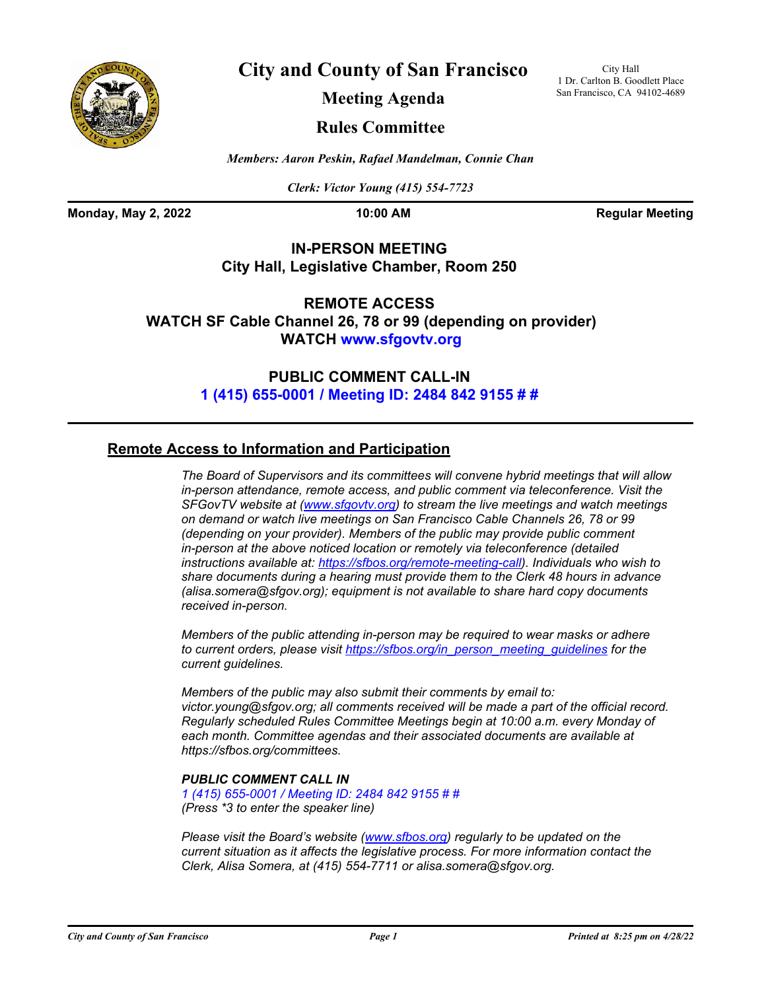

**City and County of San Francisco**

City Hall 1 Dr. Carlton B. Goodlett Place San Francisco, CA 94102-4689

**Meeting Agenda**

## **Rules Committee**

*Members: Aaron Peskin, Rafael Mandelman, Connie Chan*

*Clerk: Victor Young (415) 554-7723*

**Monday, May 2, 2022 10:00 AM Regular Meeting** 

## **IN-PERSON MEETING City Hall, Legislative Chamber, Room 250**

**REMOTE ACCESS WATCH SF Cable Channel 26, 78 or 99 (depending on provider) WATCH<www.sfgovtv.org>**

> **PUBLIC COMMENT CALL-IN [1 \(415\) 655-0001 / Meeting ID: 2484 842 9155 # #](tel:+14156550001,,24848429155#,,#)**

## **Remote Access to Information and Participation**

*The Board of Supervisors and its committees will convene hybrid meetings that will allow in-person attendance, remote access, and public comment via teleconference. Visit the SFGovTV website at [\(www.sfgovtv.org\)](www.sfgovtv.org) to stream the live meetings and watch meetings on demand or watch live meetings on San Francisco Cable Channels 26, 78 or 99 (depending on your provider). Members of the public may provide public comment in-person at the above noticed location or remotely via teleconference (detailed instructions available at: [https://sfbos.org/remote-meeting-call\)](https://sfbos.org/remote-meeting-call). Individuals who wish to share documents during a hearing must provide them to the Clerk 48 hours in advance (alisa.somera@sfgov.org); equipment is not available to share hard copy documents received in-person.*

*Members of the public attending in-person may be required to wear masks or adhere to current orders, please visit [https://sfbos.org/in\\_person\\_meeting\\_guidelines f](https://sfbos.org/in_person_meeting_guidelines)or the current guidelines.*

*Members of the public may also submit their comments by email to: victor.young@sfgov.org; all comments received will be made a part of the official record. Regularly scheduled Rules Committee Meetings begin at 10:00 a.m. every Monday of each month. Committee agendas and [their associated documents ar](https://sfbos.org/committees)e available at https://sfbos.org/committees.*

## *PUBLIC COMMENT CALL IN*

*[1 \(415\) 655-0001 / Meeting ID: 2484 842 9155 # #](tel:+14156550001,,24848429155#,,#) (Press \*3 to enter the speaker line)*

*Please visit the Board's website [\(www.sfbos.org\)](www.sfbos.org) regularly to be updated on the current situation as it affects the legislative process. For more information contact the Clerk, Alisa Somera, at (415) 554-7711 or alisa.somera@sfgov.org.*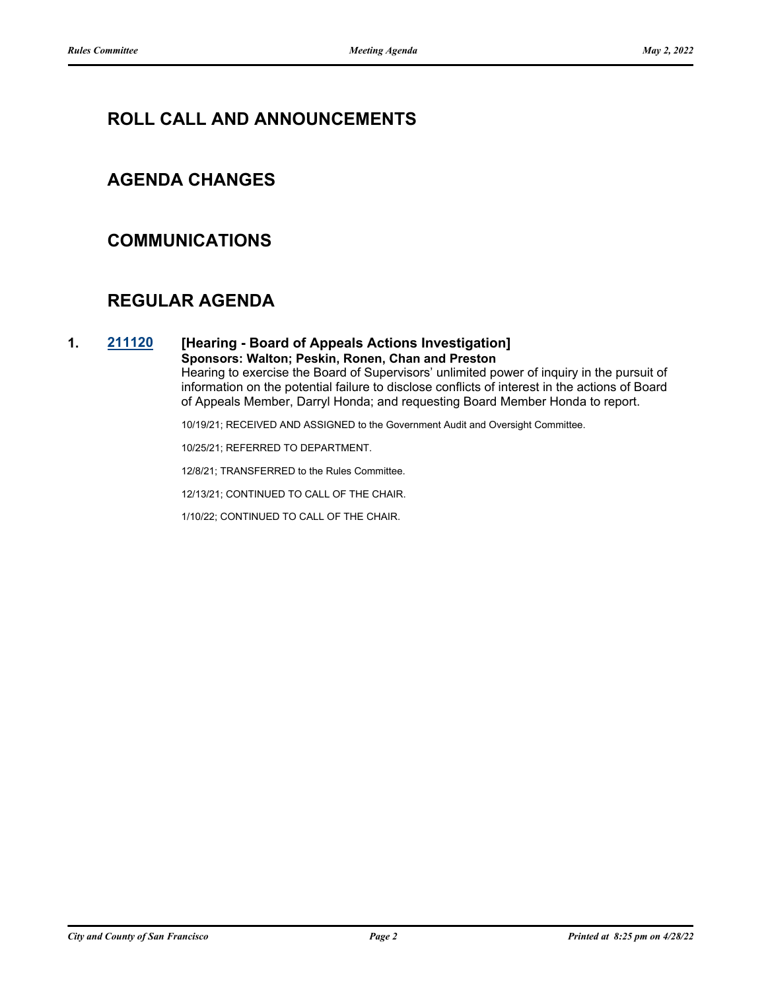# **ROLL CALL AND ANNOUNCEMENTS**

## **AGENDA CHANGES**

## **COMMUNICATIONS**

# **REGULAR AGENDA**

## **1. [211120](http://sfgov.legistar.com/gateway.aspx?m=l&id=37990) [Hearing - Board of Appeals Actions Investigation]**

#### **Sponsors: Walton; Peskin, Ronen, Chan and Preston**

Hearing to exercise the Board of Supervisors' unlimited power of inquiry in the pursuit of information on the potential failure to disclose conflicts of interest in the actions of Board of Appeals Member, Darryl Honda; and requesting Board Member Honda to report.

10/19/21; RECEIVED AND ASSIGNED to the Government Audit and Oversight Committee.

10/25/21; REFERRED TO DEPARTMENT.

12/8/21; TRANSFERRED to the Rules Committee.

12/13/21; CONTINUED TO CALL OF THE CHAIR.

1/10/22; CONTINUED TO CALL OF THE CHAIR.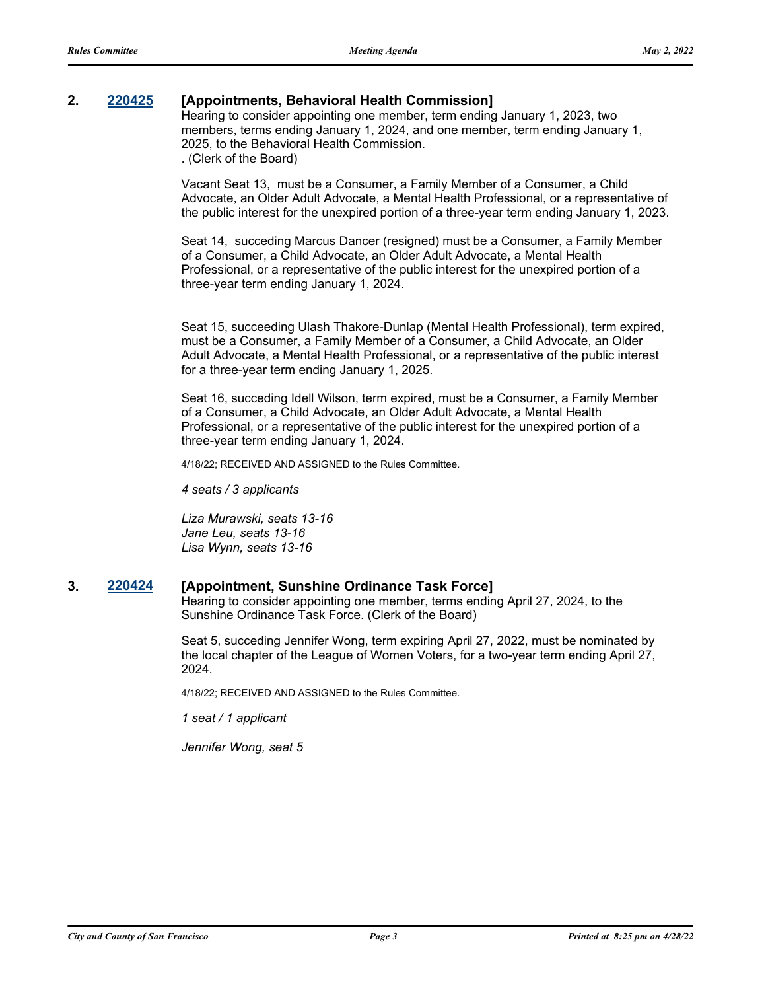### **2. [220425](http://sfgov.legistar.com/gateway.aspx?m=l&id=38617) [Appointments, Behavioral Health Commission]**

Hearing to consider appointing one member, term ending January 1, 2023, two members, terms ending January 1, 2024, and one member, term ending January 1, 2025, to the Behavioral Health Commission. . (Clerk of the Board)

Vacant Seat 13, must be a Consumer, a Family Member of a Consumer, a Child Advocate, an Older Adult Advocate, a Mental Health Professional, or a representative of the public interest for the unexpired portion of a three-year term ending January 1, 2023.

Seat 14, succeding Marcus Dancer (resigned) must be a Consumer, a Family Member of a Consumer, a Child Advocate, an Older Adult Advocate, a Mental Health Professional, or a representative of the public interest for the unexpired portion of a three-year term ending January 1, 2024.

Seat 15, succeeding Ulash Thakore-Dunlap (Mental Health Professional), term expired, must be a Consumer, a Family Member of a Consumer, a Child Advocate, an Older Adult Advocate, a Mental Health Professional, or a representative of the public interest for a three-year term ending January 1, 2025.

Seat 16, succeding Idell Wilson, term expired, must be a Consumer, a Family Member of a Consumer, a Child Advocate, an Older Adult Advocate, a Mental Health Professional, or a representative of the public interest for the unexpired portion of a three-year term ending January 1, 2024.

4/18/22; RECEIVED AND ASSIGNED to the Rules Committee.

*4 seats / 3 applicants*

*Liza Murawski, seats 13-16 Jane Leu, seats 13-16 Lisa Wynn, seats 13-16*

#### **3. [220424](http://sfgov.legistar.com/gateway.aspx?m=l&id=38616) [Appointment, Sunshine Ordinance Task Force]**

Hearing to consider appointing one member, terms ending April 27, 2024, to the Sunshine Ordinance Task Force. (Clerk of the Board)

Seat 5, succeding Jennifer Wong, term expiring April 27, 2022, must be nominated by the local chapter of the League of Women Voters, for a two-year term ending April 27, 2024.

4/18/22; RECEIVED AND ASSIGNED to the Rules Committee.

*1 seat / 1 applicant*

*Jennifer Wong, seat 5*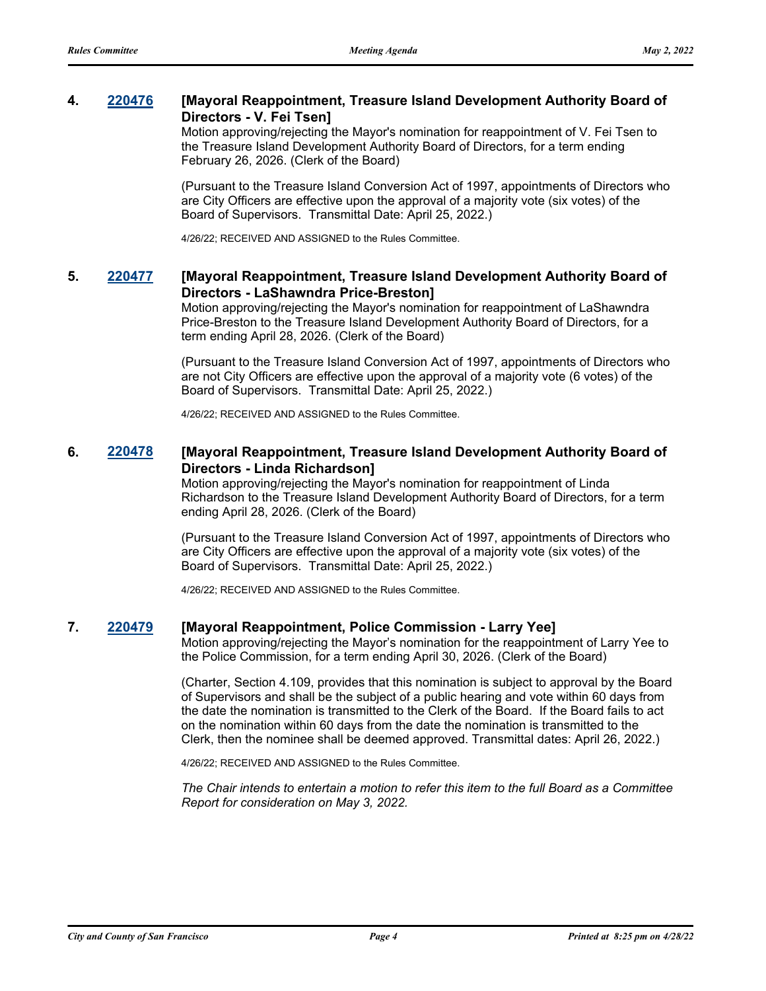## **4. [220476](http://sfgov.legistar.com/gateway.aspx?m=l&id=38668) [Mayoral Reappointment, Treasure Island Development Authority Board of Directors - V. Fei Tsen]**

Motion approving/rejecting the Mayor's nomination for reappointment of V. Fei Tsen to the Treasure Island Development Authority Board of Directors, for a term ending February 26, 2026. (Clerk of the Board)

(Pursuant to the Treasure Island Conversion Act of 1997, appointments of Directors who are City Officers are effective upon the approval of a majority vote (six votes) of the Board of Supervisors. Transmittal Date: April 25, 2022.)

4/26/22; RECEIVED AND ASSIGNED to the Rules Committee.

### **5. [220477](http://sfgov.legistar.com/gateway.aspx?m=l&id=38669) [Mayoral Reappointment, Treasure Island Development Authority Board of Directors - LaShawndra Price-Breston]**

Motion approving/rejecting the Mayor's nomination for reappointment of LaShawndra Price-Breston to the Treasure Island Development Authority Board of Directors, for a term ending April 28, 2026. (Clerk of the Board)

(Pursuant to the Treasure Island Conversion Act of 1997, appointments of Directors who are not City Officers are effective upon the approval of a majority vote (6 votes) of the Board of Supervisors. Transmittal Date: April 25, 2022.)

4/26/22; RECEIVED AND ASSIGNED to the Rules Committee.

### **6. [220478](http://sfgov.legistar.com/gateway.aspx?m=l&id=38670) [Mayoral Reappointment, Treasure Island Development Authority Board of Directors - Linda Richardson]**

Motion approving/rejecting the Mayor's nomination for reappointment of Linda Richardson to the Treasure Island Development Authority Board of Directors, for a term ending April 28, 2026. (Clerk of the Board)

(Pursuant to the Treasure Island Conversion Act of 1997, appointments of Directors who are City Officers are effective upon the approval of a majority vote (six votes) of the Board of Supervisors. Transmittal Date: April 25, 2022.)

4/26/22; RECEIVED AND ASSIGNED to the Rules Committee.

#### **7. [220479](http://sfgov.legistar.com/gateway.aspx?m=l&id=38671) [Mayoral Reappointment, Police Commission - Larry Yee]**

Motion approving/rejecting the Mayor's nomination for the reappointment of Larry Yee to the Police Commission, for a term ending April 30, 2026. (Clerk of the Board)

(Charter, Section 4.109, provides that this nomination is subject to approval by the Board of Supervisors and shall be the subject of a public hearing and vote within 60 days from the date the nomination is transmitted to the Clerk of the Board. If the Board fails to act on the nomination within 60 days from the date the nomination is transmitted to the Clerk, then the nominee shall be deemed approved. Transmittal dates: April 26, 2022.)

4/26/22; RECEIVED AND ASSIGNED to the Rules Committee.

*The Chair intends to entertain a motion to refer this item to the full Board as a Committee Report for consideration on May 3, 2022.*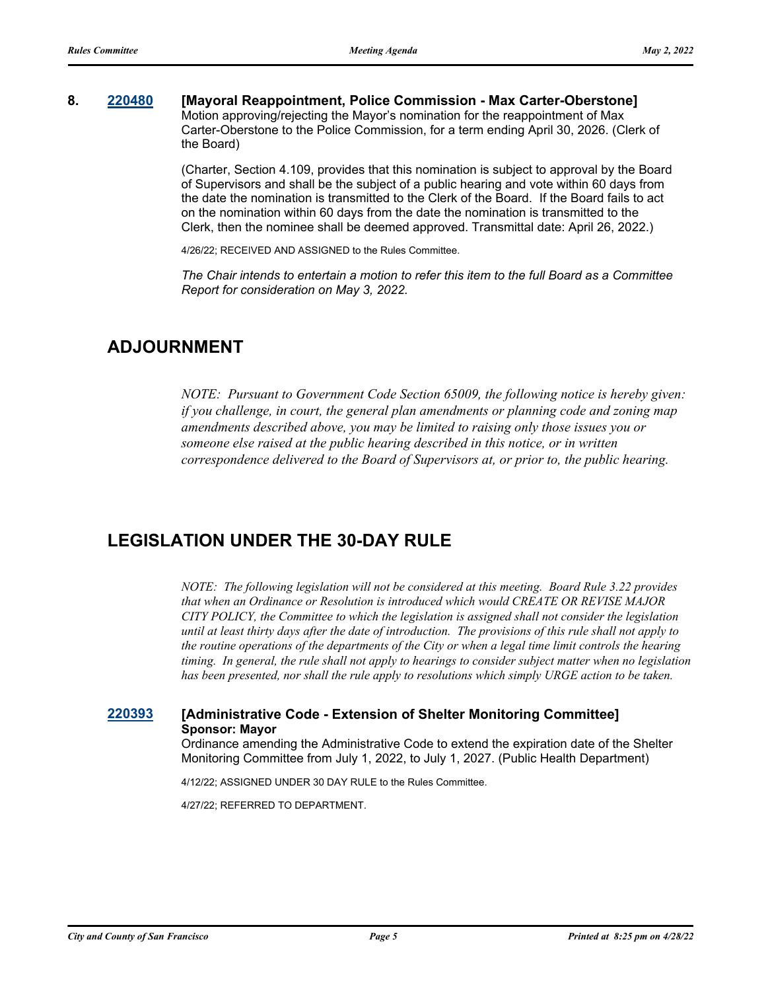#### **8. [220480](http://sfgov.legistar.com/gateway.aspx?m=l&id=38672) [Mayoral Reappointment, Police Commission - Max Carter-Oberstone]** Motion approving/rejecting the Mayor's nomination for the reappointment of Max Carter-Oberstone to the Police Commission, for a term ending April 30, 2026. (Clerk of the Board)

(Charter, Section 4.109, provides that this nomination is subject to approval by the Board of Supervisors and shall be the subject of a public hearing and vote within 60 days from the date the nomination is transmitted to the Clerk of the Board. If the Board fails to act on the nomination within 60 days from the date the nomination is transmitted to the Clerk, then the nominee shall be deemed approved. Transmittal date: April 26, 2022.)

4/26/22; RECEIVED AND ASSIGNED to the Rules Committee.

*The Chair intends to entertain a motion to refer this item to the full Board as a Committee Report for consideration on May 3, 2022.*

## **ADJOURNMENT**

*NOTE: Pursuant to Government Code Section 65009, the following notice is hereby given: if you challenge, in court, the general plan amendments or planning code and zoning map amendments described above, you may be limited to raising only those issues you or someone else raised at the public hearing described in this notice, or in written correspondence delivered to the Board of Supervisors at, or prior to, the public hearing.*

## **LEGISLATION UNDER THE 30-DAY RULE**

*NOTE: The following legislation will not be considered at this meeting. Board Rule 3.22 provides that when an Ordinance or Resolution is introduced which would CREATE OR REVISE MAJOR CITY POLICY, the Committee to which the legislation is assigned shall not consider the legislation until at least thirty days after the date of introduction. The provisions of this rule shall not apply to the routine operations of the departments of the City or when a legal time limit controls the hearing timing. In general, the rule shall not apply to hearings to consider subject matter when no legislation has been presented, nor shall the rule apply to resolutions which simply URGE action to be taken.*

### **[220393](http://sfgov.legistar.com/gateway.aspx?m=l&id=38585) [Administrative Code - Extension of Shelter Monitoring Committee] Sponsor: Mayor**

Ordinance amending the Administrative Code to extend the expiration date of the Shelter Monitoring Committee from July 1, 2022, to July 1, 2027. (Public Health Department)

4/12/22; ASSIGNED UNDER 30 DAY RULE to the Rules Committee.

4/27/22; REFERRED TO DEPARTMENT.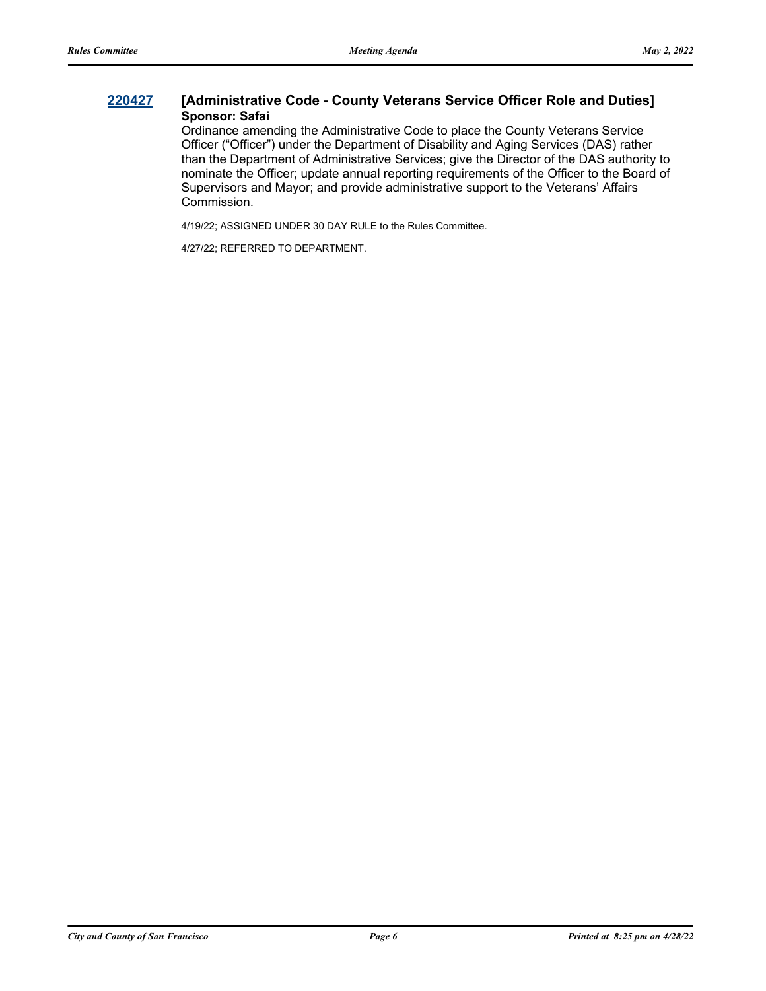### **[220427](http://sfgov.legistar.com/gateway.aspx?m=l&id=38619) [Administrative Code - County Veterans Service Officer Role and Duties] Sponsor: Safai**

Ordinance amending the Administrative Code to place the County Veterans Service Officer ("Officer") under the Department of Disability and Aging Services (DAS) rather than the Department of Administrative Services; give the Director of the DAS authority to nominate the Officer; update annual reporting requirements of the Officer to the Board of Supervisors and Mayor; and provide administrative support to the Veterans' Affairs Commission.

4/19/22; ASSIGNED UNDER 30 DAY RULE to the Rules Committee.

4/27/22; REFERRED TO DEPARTMENT.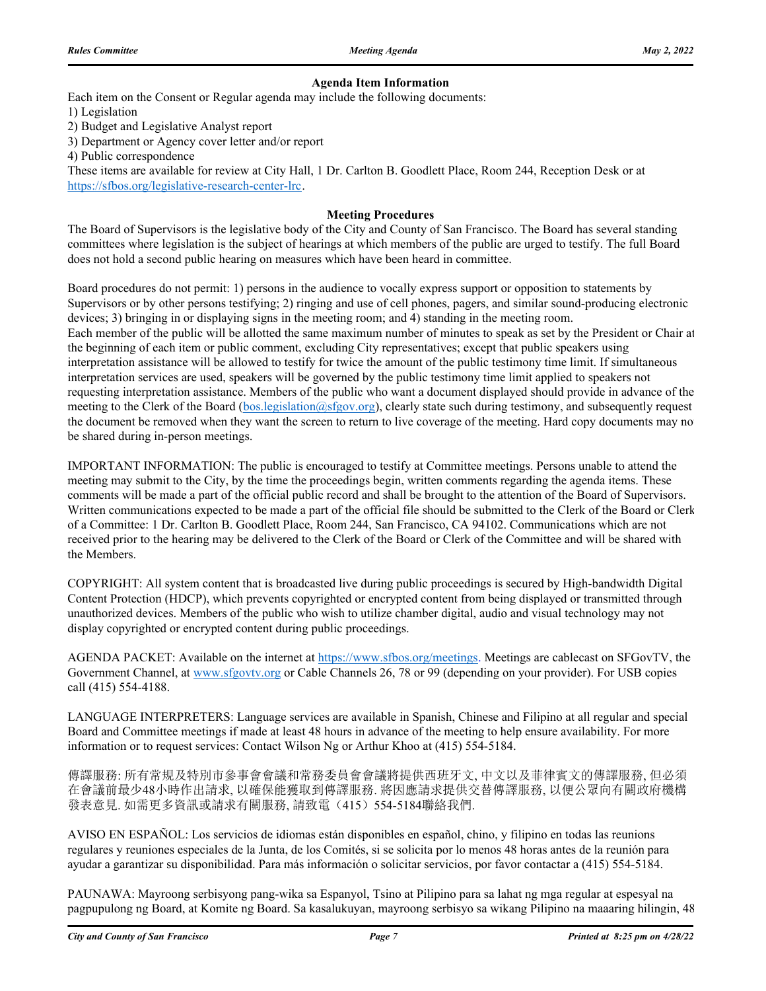#### **Agenda Item Information**

Each item on the Consent or Regular agenda may include the following documents:

1) Legislation

2) Budget and Legislative Analyst report

3) Department or Agency cover letter and/or report

4) Public correspondence

These items are available for review at City Hall, 1 Dr. Carlton B. Goodlett Place, Room 244, Reception Desk or at https://sfbos.org/legislative-research-center-lrc.

#### **Meeting Procedures**

The Board of Supervisors is the legislative body of the City and County of San Francisco. The Board has several standing committees where legislation is the subject of hearings at which members of the public are urged to testify. The full Board does not hold a second public hearing on measures which have been heard in committee.

Board procedures do not permit: 1) persons in the audience to vocally express support or opposition to statements by Supervisors or by other persons testifying; 2) ringing and use of cell phones, pagers, and similar sound-producing electronic devices; 3) bringing in or displaying signs in the meeting room; and 4) standing in the meeting room. Each member of the public will be allotted the same maximum number of minutes to speak as set by the President or Chair at the beginning of each item or public comment, excluding City representatives; except that public speakers using interpretation assistance will be allowed to testify for twice the amount of the public testimony time limit. If simultaneous interpretation services are used, speakers will be governed by the public testimony time limit applied to speakers not requesting interpretation assistance. Members of the public who want a document displayed should provide in advance of the meeting to the Clerk of the Board (bos.legislation@sfgov.org), clearly state such during testimony, and subsequently request the document be removed when they want the screen to return to live coverage of the meeting. Hard copy documents may no be shared during in-person meetings.

IMPORTANT INFORMATION: The public is encouraged to testify at Committee meetings. Persons unable to attend the meeting may submit to the City, by the time the proceedings begin, written comments regarding the agenda items. These comments will be made a part of the official public record and shall be brought to the attention of the Board of Supervisors. Written communications expected to be made a part of the official file should be submitted to the Clerk of the Board or Clerk of a Committee: 1 Dr. Carlton B. Goodlett Place, Room 244, San Francisco, CA 94102. Communications which are not received prior to the hearing may be delivered to the Clerk of the Board or Clerk of the Committee and will be shared with the Members.

COPYRIGHT: All system content that is broadcasted live during public proceedings is secured by High-bandwidth Digital Content Protection (HDCP), which prevents copyrighted or encrypted content from being displayed or transmitted through unauthorized devices. Members of the public who wish to utilize chamber digital, audio and visual technology may not display copyrighted or encrypted content during public proceedings.

AGENDA PACKET: Available on the internet at https://www.sfbos.org/meetings. Meetings are cablecast on SFGovTV, the Government Channel, at www.sfgovtv.org or Cable Channels 26, 78 or 99 (depending on your provider). For USB copies call (415) 554-4188.

LANGUAGE INTERPRETERS: Language services are available in Spanish, Chinese and Filipino at all regular and special Board and Committee meetings if made at least 48 hours in advance of the meeting to help ensure availability. For more information or to request services: Contact Wilson Ng or Arthur Khoo at (415) 554-5184.

傳譯服務: 所有常規及特別市參事會會議和常務委員會會議將提供西班牙文, 中文以及菲律賓文的傳譯服務, 但必須 在會議前最少48小時作出請求, 以確保能獲取到傳譯服務. 將因應請求提供交替傳譯服務, 以便公眾向有關政府機構 發表意見. 如需更多資訊或請求有關服務, 請致電(415)554-5184聯絡我們.

AVISO EN ESPAÑOL: Los servicios de idiomas están disponibles en español, chino, y filipino en todas las reunions regulares y reuniones especiales de la Junta, de los Comités, si se solicita por lo menos 48 horas antes de la reunión para ayudar a garantizar su disponibilidad. Para más información o solicitar servicios, por favor contactar a (415) 554-5184.

PAUNAWA: Mayroong serbisyong pang-wika sa Espanyol, Tsino at Pilipino para sa lahat ng mga regular at espesyal na pagpupulong ng Board, at Komite ng Board. Sa kasalukuyan, mayroong serbisyo sa wikang Pilipino na maaaring hilingin, 48